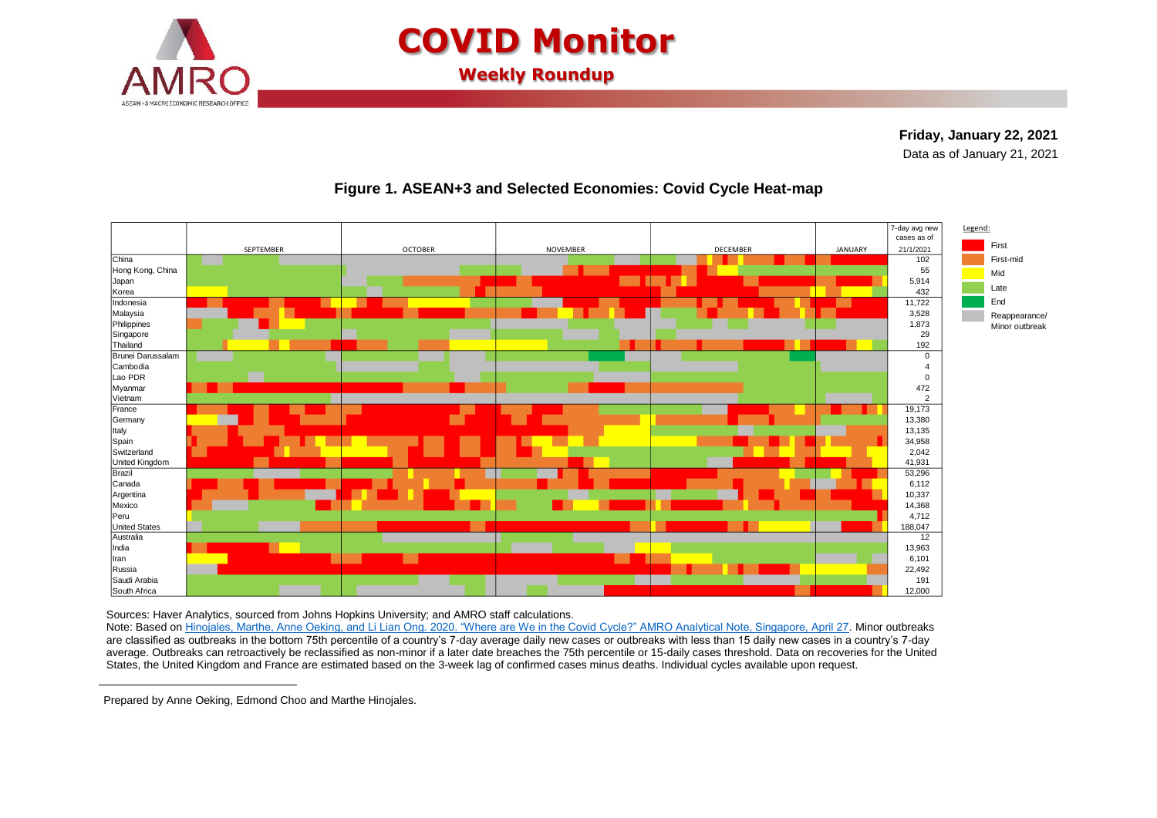

# **COVID Monitor**

**Weekly Roundup**

#### **Friday, January 22, 2021 <sup>1</sup>**Data as of January 21, 2021



### **Figure 1. ASEAN+3 and Selected Economies: Covid Cycle Heat-map**

Sources: Haver Analytics, sourced from Johns Hopkins University; and AMRO staff calculations.

Note: Based on [Hinojales, Marthe, Anne Oeking, and Li Lian Ong. 2020. "Where are We in the Covid](https://www.amro-asia.org/where-are-we-in-the-covid-cycle/) Cycle?" AMRO Analytical Note, Singapore, April 27. Minor outbreaks are classified as outbreaks in the bottom 75th percentile of a country's 7-day average daily new cases or outbreaks with less than 15 daily new cases in a country's 7-day average. Outbreaks can retroactively be reclassified as non-minor if a later date breaches the 75th percentile or 15-daily cases threshold. Data on recoveries for the United States, the United Kingdom and France are estimated based on the 3-week lag of confirmed cases minus deaths. Individual cycles available upon request.

Prepared by Anne Oeking, Edmond Choo and Marthe Hinojales.

 $\overline{a}$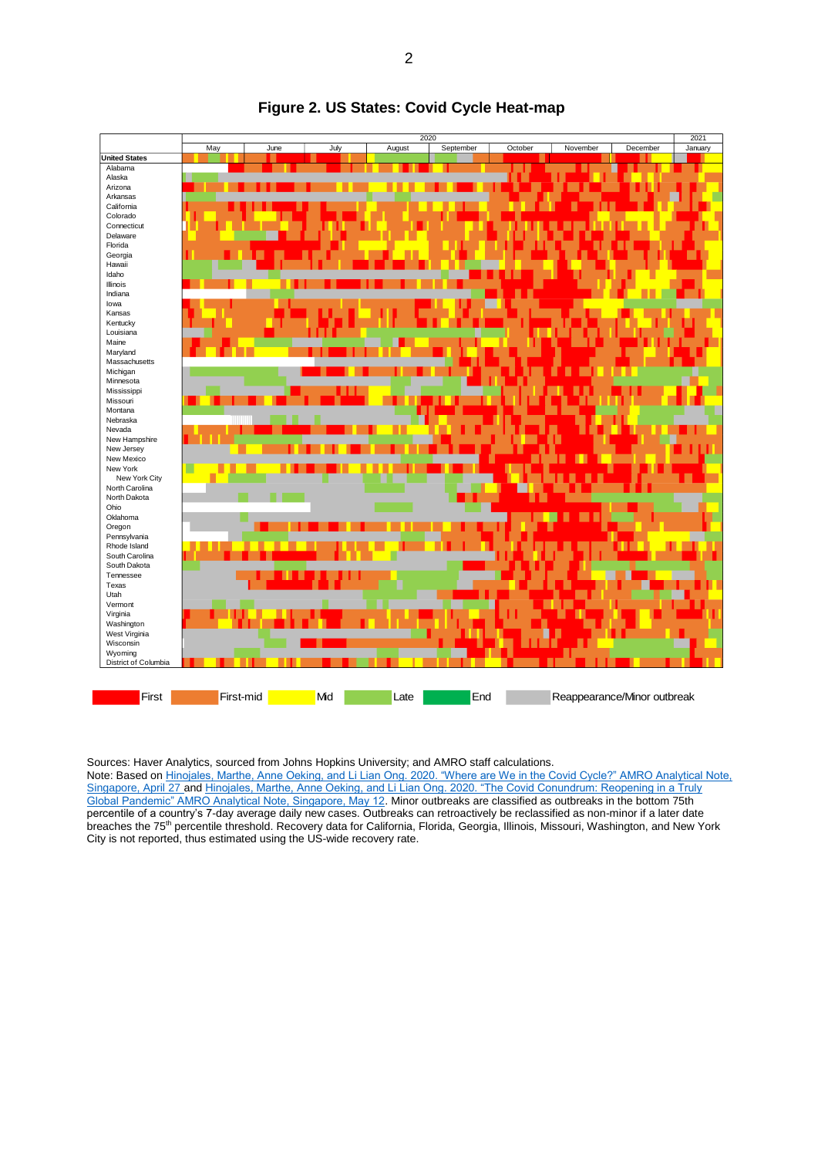

#### **Figure 2. US States: Covid Cycle Heat-map**

Sources: Haver Analytics, sourced from Johns Hopkins University; and AMRO staff calculations.

Note: Based o[n Hinojales, Marthe, Anne Oeking, and Li Lian Ong. 2020. "Where are We in the Covid Cycle?" AMRO Analytical Note,](https://www.amro-asia.org/where-are-we-in-the-covid-cycle/)  [Singapore, April 27](https://www.amro-asia.org/where-are-we-in-the-covid-cycle/) an[d Hinojales, Marthe, Anne Oeking, and Li Lian Ong. 2020. "The Covid Conundrum: Reopening in a Truly](https://www.amro-asia.org/the-covid-conundrum-reopening-in-a-truly-global-pandemic/)  [Global Pandemic" AMRO Analytical Note, Singapore, May 12.](https://www.amro-asia.org/the-covid-conundrum-reopening-in-a-truly-global-pandemic/) Minor outbreaks are classified as outbreaks in the bottom 75th percentile of a country's 7-day average daily new cases. Outbreaks can retroactively be reclassified as non-minor if a later date breaches the 75th percentile threshold. Recovery data for California, Florida, Georgia, Illinois, Missouri, Washington, and New York City is not reported, thus estimated using the US-wide recovery rate.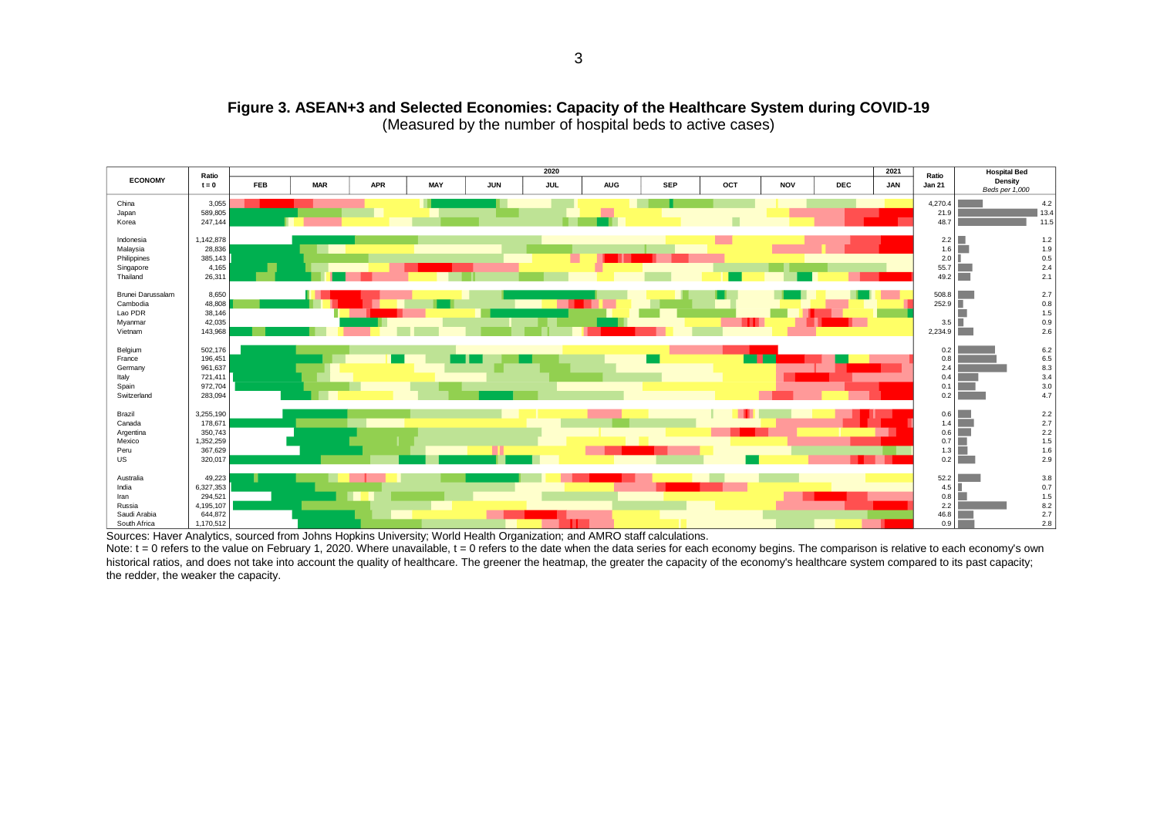

#### **Figure 3. ASEAN+3 and Selected Economies: Capacity of the Healthcare System during COVID-19** (Measured by the number of hospital beds to active cases)

Sources: Haver Analytics, sourced from Johns Hopkins University; World Health Organization; and AMRO staff calculations.

Note:  $t = 0$  refers to the value on February 1, 2020. Where unavailable,  $t = 0$  refers to the date when the data series for each economy begins. The comparison is relative to each economy's own historical ratios, and does not take into account the quality of healthcare. The greener the heatmap, the greater the capacity of the economy's healthcare system compared to its past capacity; the redder, the weaker the capacity.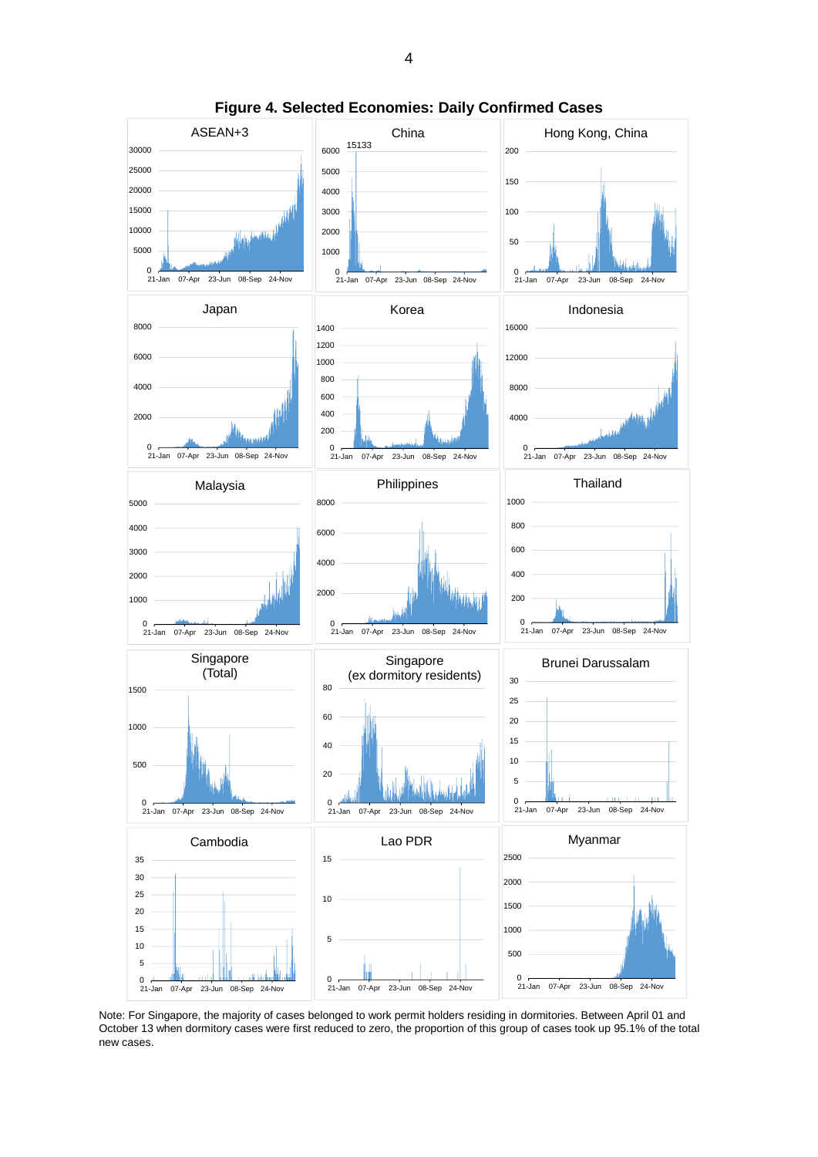

**Figure 4. Selected Economies: Daily Confirmed Cases**

Note: For Singapore, the majority of cases belonged to work permit holders residing in dormitories. Between April 01 and October 13 when dormitory cases were first reduced to zero, the proportion of this group of cases took up 95.1% of the total new cases.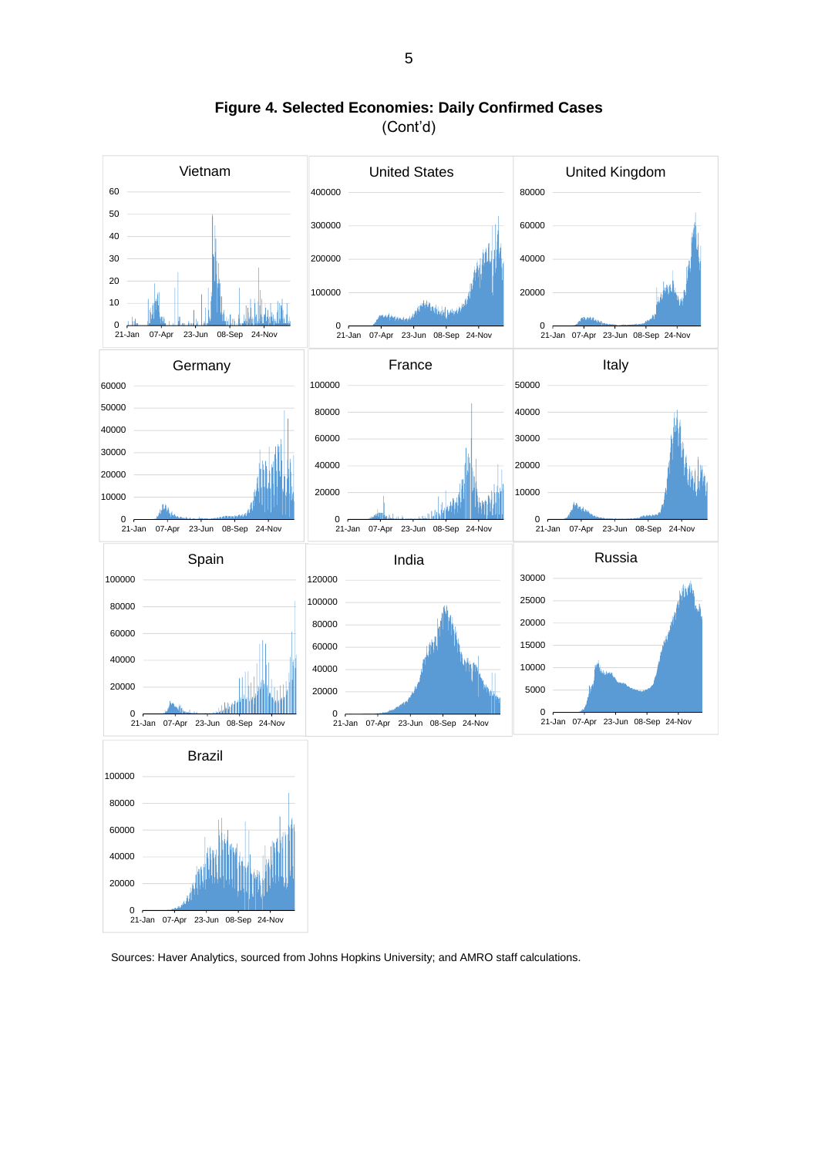

**Figure 4. Selected Economies: Daily Confirmed Cases** (Cont'd)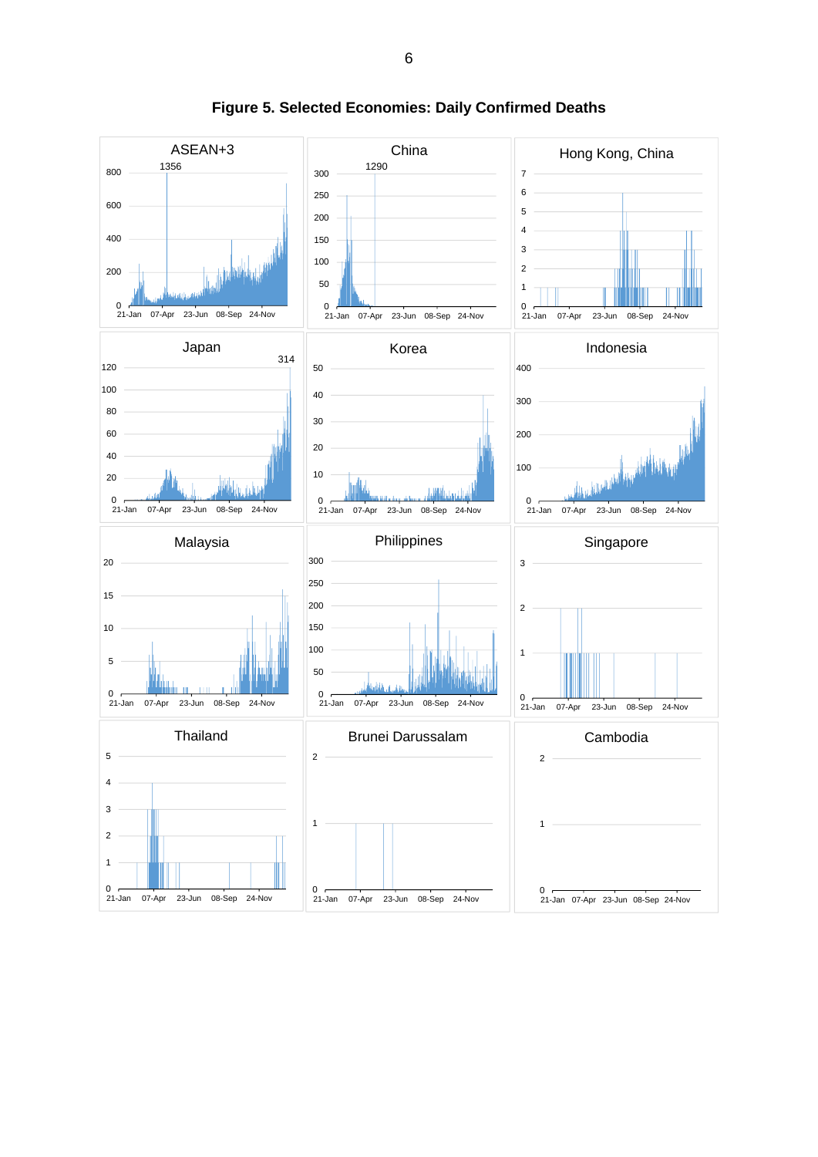

**Figure 5. Selected Economies: Daily Confirmed Deaths**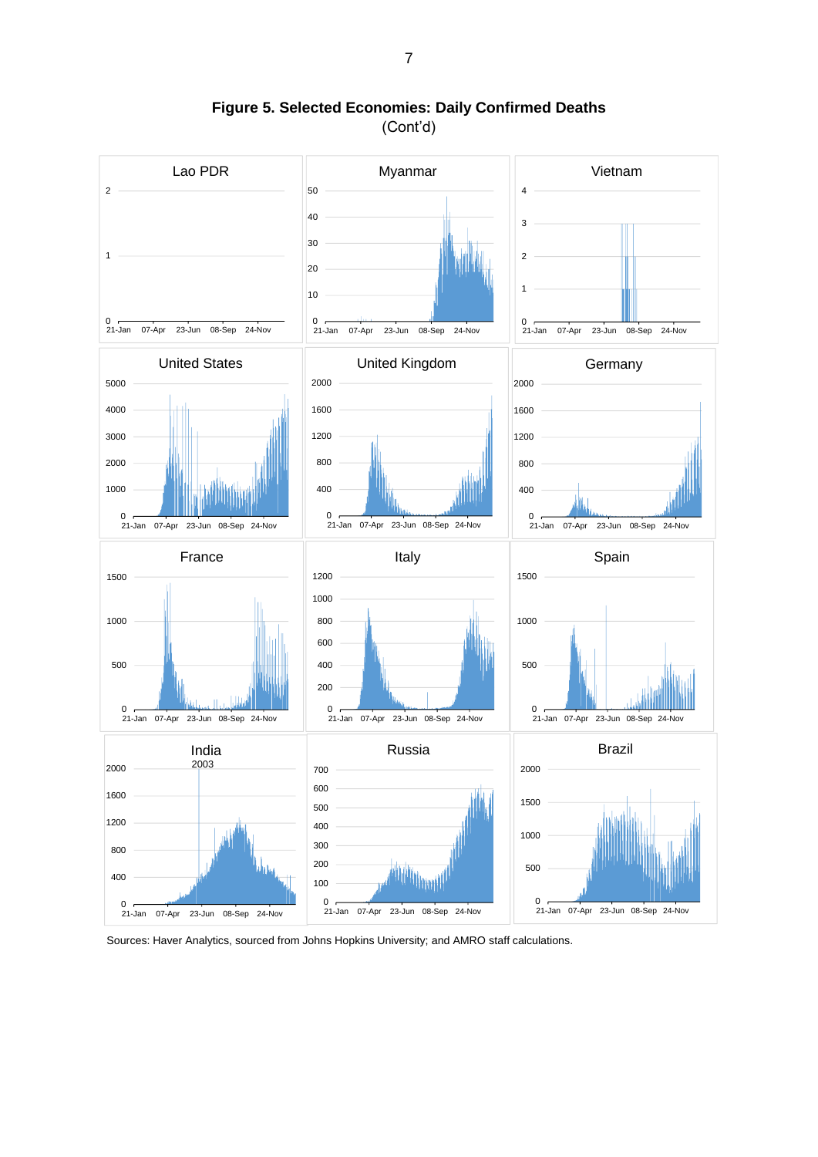

**Figure 5. Selected Economies: Daily Confirmed Deaths** (Cont'd)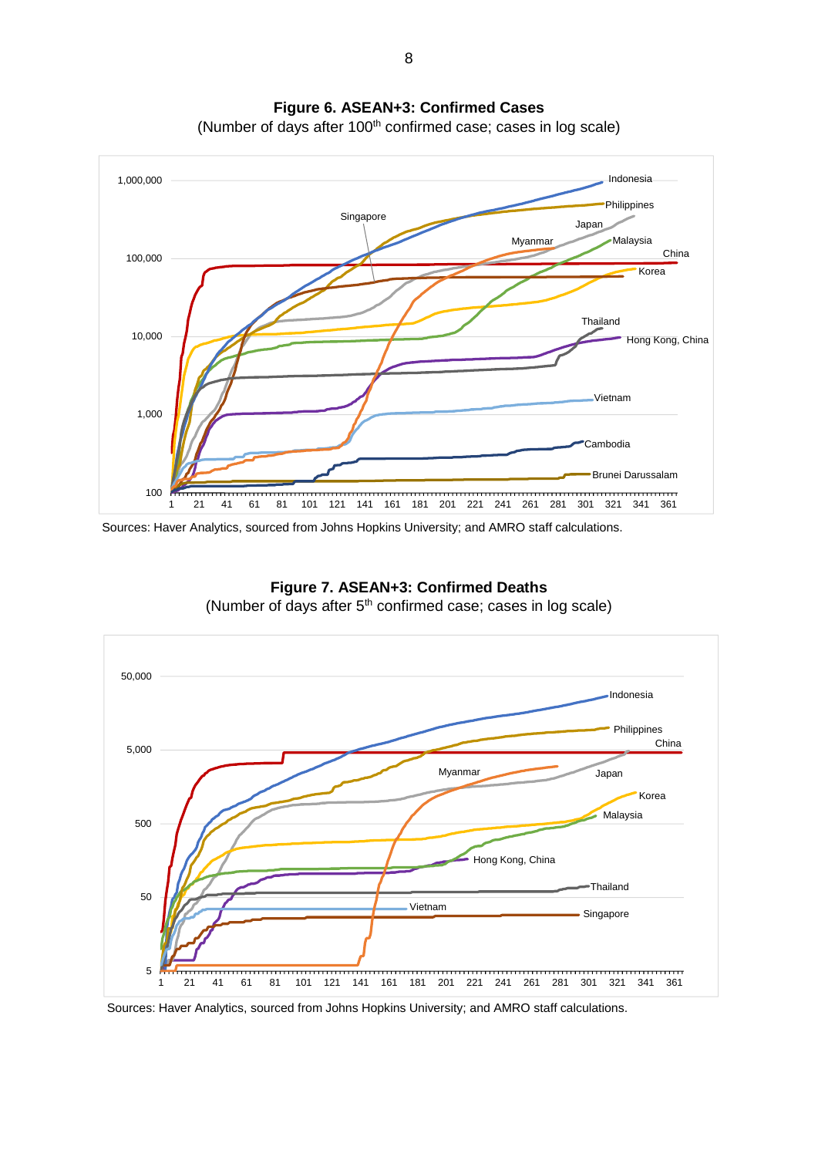

**Figure 6. ASEAN+3: Confirmed Cases**

(Number of days after 100<sup>th</sup> confirmed case; cases in log scale)



**Figure 7. ASEAN+3: Confirmed Deaths** (Number of days after  $5<sup>th</sup>$  confirmed case; cases in log scale)

Sources: Haver Analytics, sourced from Johns Hopkins University; and AMRO staff calculations.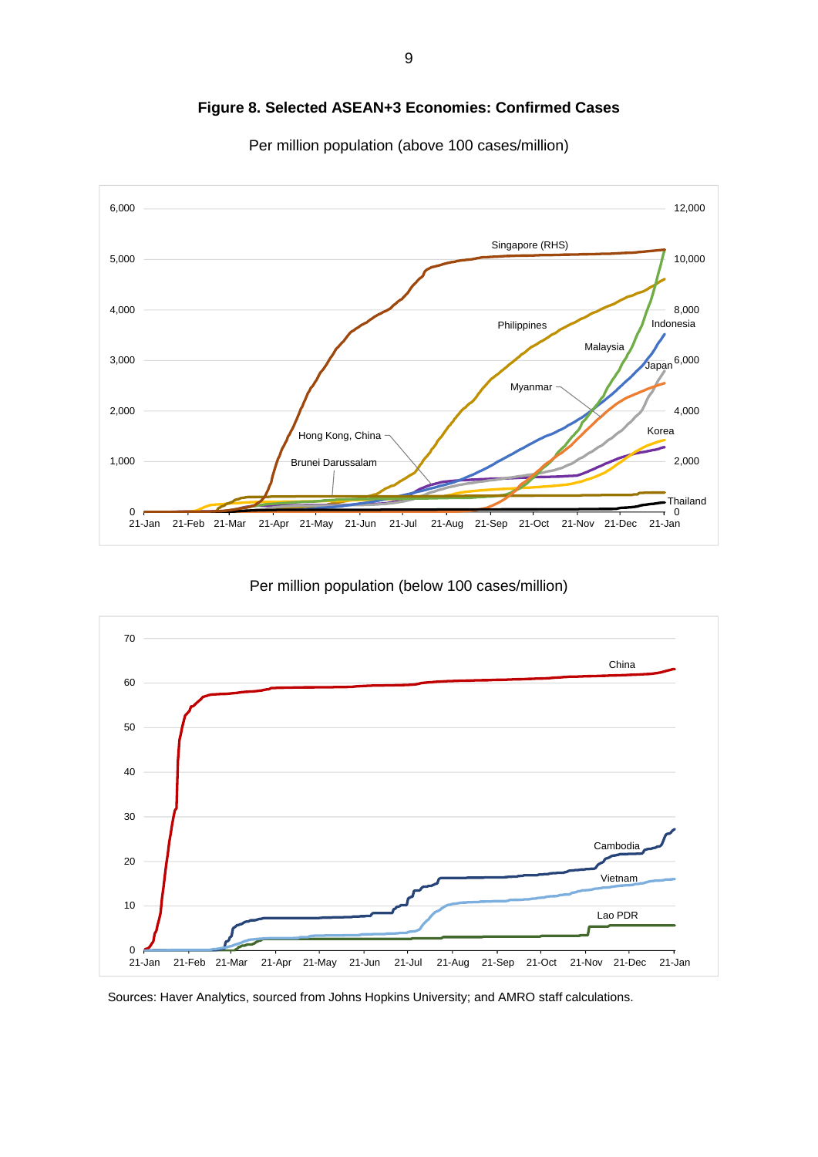

**Figure 8. Selected ASEAN+3 Economies: Confirmed Cases**



Per million population (above 100 cases/million)

Per million population (below 100 cases/million)

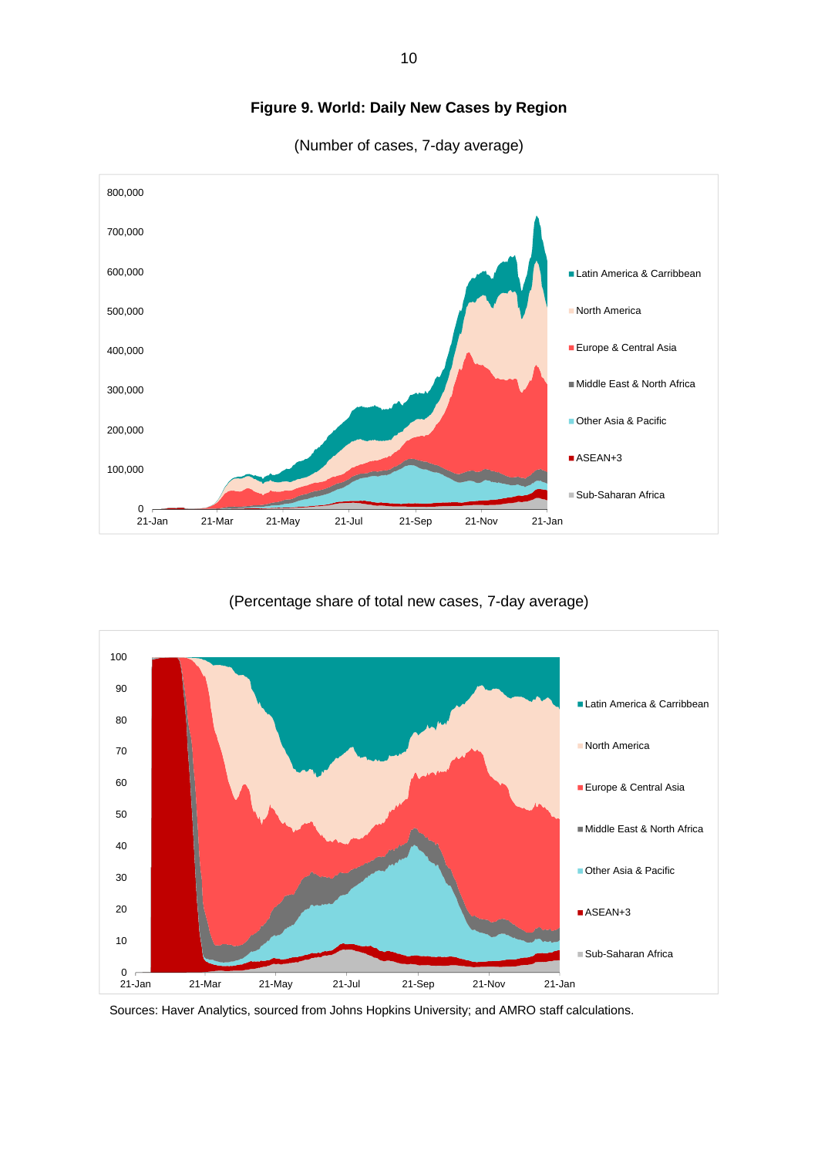

## **Figure 9. World: Daily New Cases by Region**

(Number of cases, 7-day average)

(Percentage share of total new cases, 7-day average)